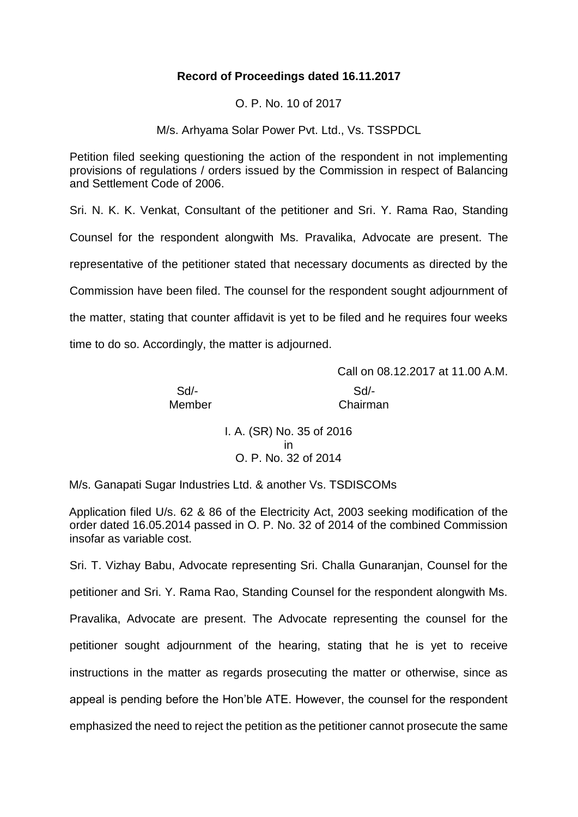# **Record of Proceedings dated 16.11.2017**

O. P. No. 10 of 2017

M/s. Arhyama Solar Power Pvt. Ltd., Vs. TSSPDCL

Petition filed seeking questioning the action of the respondent in not implementing provisions of regulations / orders issued by the Commission in respect of Balancing and Settlement Code of 2006.

Sri. N. K. K. Venkat, Consultant of the petitioner and Sri. Y. Rama Rao, Standing Counsel for the respondent alongwith Ms. Pravalika, Advocate are present. The representative of the petitioner stated that necessary documents as directed by the Commission have been filed. The counsel for the respondent sought adjournment of the matter, stating that counter affidavit is yet to be filed and he requires four weeks time to do so. Accordingly, the matter is adjourned.

Call on 08.12.2017 at 11.00 A.M.

Sd/- Sd/-

Member **Chairman** 

I. A. (SR) No. 35 of 2016 in O. P. No. 32 of 2014

M/s. Ganapati Sugar Industries Ltd. & another Vs. TSDISCOMs

Application filed U/s. 62 & 86 of the Electricity Act, 2003 seeking modification of the order dated 16.05.2014 passed in O. P. No. 32 of 2014 of the combined Commission insofar as variable cost.

Sri. T. Vizhay Babu, Advocate representing Sri. Challa Gunaranjan, Counsel for the petitioner and Sri. Y. Rama Rao, Standing Counsel for the respondent alongwith Ms. Pravalika, Advocate are present. The Advocate representing the counsel for the petitioner sought adjournment of the hearing, stating that he is yet to receive instructions in the matter as regards prosecuting the matter or otherwise, since as appeal is pending before the Hon'ble ATE. However, the counsel for the respondent emphasized the need to reject the petition as the petitioner cannot prosecute the same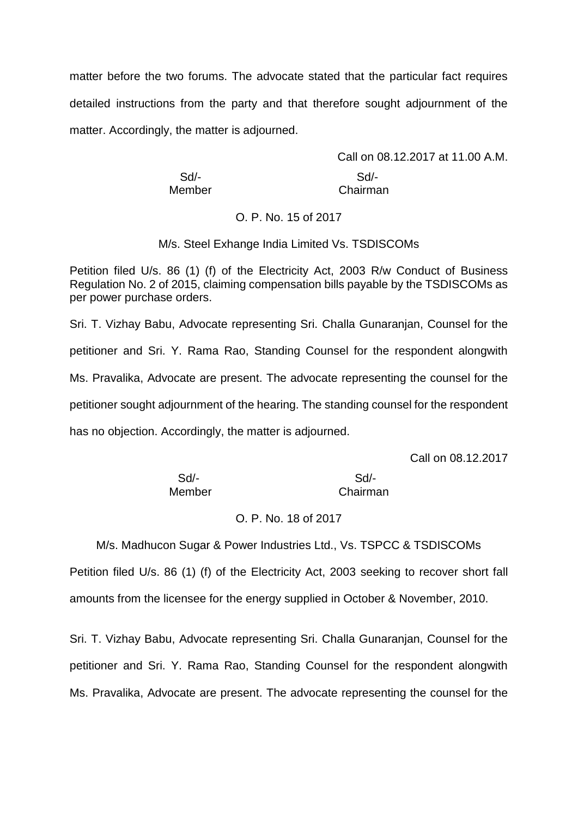matter before the two forums. The advocate stated that the particular fact requires detailed instructions from the party and that therefore sought adjournment of the matter. Accordingly, the matter is adjourned.

Call on 08.12.2017 at 11.00 A.M. Sd/- Sd/- Member **Chairman** 

#### O. P. No. 15 of 2017

M/s. Steel Exhange India Limited Vs. TSDISCOMs

Petition filed U/s. 86 (1) (f) of the Electricity Act, 2003 R/w Conduct of Business Regulation No. 2 of 2015, claiming compensation bills payable by the TSDISCOMs as per power purchase orders.

Sri. T. Vizhay Babu, Advocate representing Sri. Challa Gunaranjan, Counsel for the petitioner and Sri. Y. Rama Rao, Standing Counsel for the respondent alongwith Ms. Pravalika, Advocate are present. The advocate representing the counsel for the petitioner sought adjournment of the hearing. The standing counsel for the respondent has no objection. Accordingly, the matter is adjourned.

Call on 08.12.2017

Sd/- Sd/- Member Chairman

## O. P. No. 18 of 2017

M/s. Madhucon Sugar & Power Industries Ltd., Vs. TSPCC & TSDISCOMs

Petition filed U/s. 86 (1) (f) of the Electricity Act, 2003 seeking to recover short fall amounts from the licensee for the energy supplied in October & November, 2010.

Sri. T. Vizhay Babu, Advocate representing Sri. Challa Gunaranjan, Counsel for the petitioner and Sri. Y. Rama Rao, Standing Counsel for the respondent alongwith Ms. Pravalika, Advocate are present. The advocate representing the counsel for the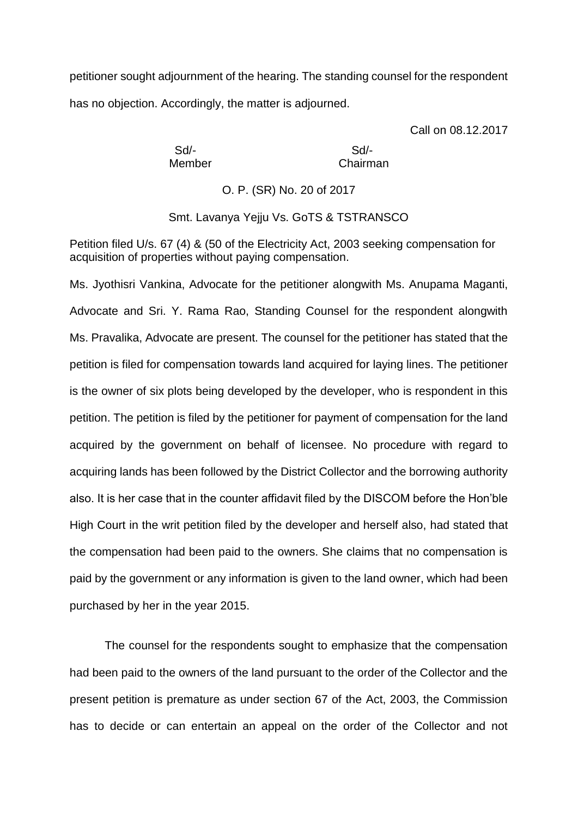petitioner sought adjournment of the hearing. The standing counsel for the respondent has no objection. Accordingly, the matter is adjourned.

Call on 08.12.2017

Sd/- Sd/-

Member Chairman

O. P. (SR) No. 20 of 2017

Smt. Lavanya Yejju Vs. GoTS & TSTRANSCO

Petition filed U/s. 67 (4) & (50 of the Electricity Act, 2003 seeking compensation for acquisition of properties without paying compensation.

Ms. Jyothisri Vankina, Advocate for the petitioner alongwith Ms. Anupama Maganti, Advocate and Sri. Y. Rama Rao, Standing Counsel for the respondent alongwith Ms. Pravalika, Advocate are present. The counsel for the petitioner has stated that the petition is filed for compensation towards land acquired for laying lines. The petitioner is the owner of six plots being developed by the developer, who is respondent in this petition. The petition is filed by the petitioner for payment of compensation for the land acquired by the government on behalf of licensee. No procedure with regard to acquiring lands has been followed by the District Collector and the borrowing authority also. It is her case that in the counter affidavit filed by the DISCOM before the Hon'ble High Court in the writ petition filed by the developer and herself also, had stated that the compensation had been paid to the owners. She claims that no compensation is paid by the government or any information is given to the land owner, which had been purchased by her in the year 2015.

The counsel for the respondents sought to emphasize that the compensation had been paid to the owners of the land pursuant to the order of the Collector and the present petition is premature as under section 67 of the Act, 2003, the Commission has to decide or can entertain an appeal on the order of the Collector and not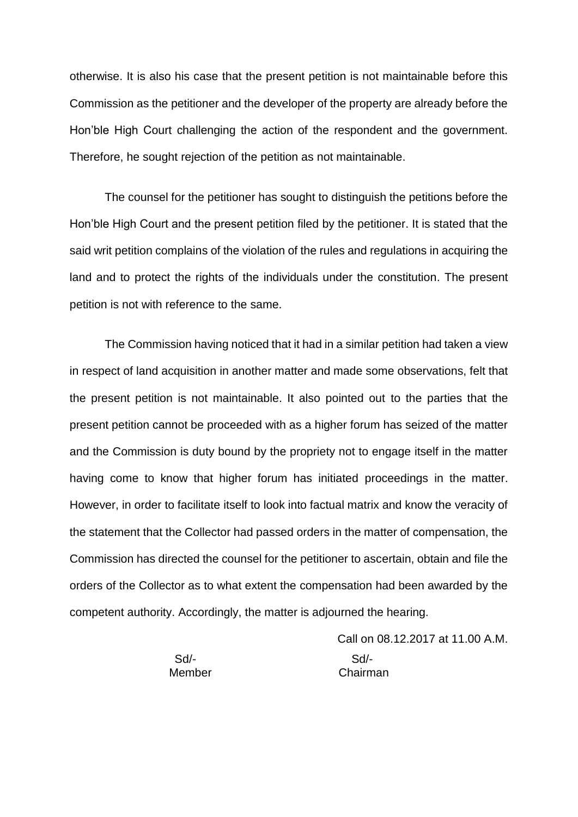otherwise. It is also his case that the present petition is not maintainable before this Commission as the petitioner and the developer of the property are already before the Hon'ble High Court challenging the action of the respondent and the government. Therefore, he sought rejection of the petition as not maintainable.

The counsel for the petitioner has sought to distinguish the petitions before the Hon'ble High Court and the present petition filed by the petitioner. It is stated that the said writ petition complains of the violation of the rules and regulations in acquiring the land and to protect the rights of the individuals under the constitution. The present petition is not with reference to the same.

The Commission having noticed that it had in a similar petition had taken a view in respect of land acquisition in another matter and made some observations, felt that the present petition is not maintainable. It also pointed out to the parties that the present petition cannot be proceeded with as a higher forum has seized of the matter and the Commission is duty bound by the propriety not to engage itself in the matter having come to know that higher forum has initiated proceedings in the matter. However, in order to facilitate itself to look into factual matrix and know the veracity of the statement that the Collector had passed orders in the matter of compensation, the Commission has directed the counsel for the petitioner to ascertain, obtain and file the orders of the Collector as to what extent the compensation had been awarded by the competent authority. Accordingly, the matter is adjourned the hearing.

> Call on 08.12.2017 at 11.00 A.M. Sd/- Sd/- Member Chairman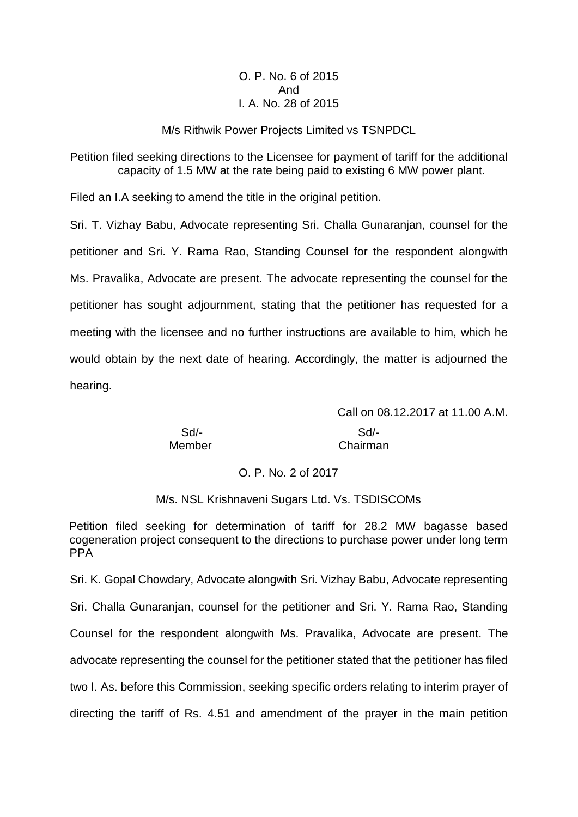## O. P. No. 6 of 2015 And I. A. No. 28 of 2015

#### M/s Rithwik Power Projects Limited vs TSNPDCL

Petition filed seeking directions to the Licensee for payment of tariff for the additional capacity of 1.5 MW at the rate being paid to existing 6 MW power plant.

Filed an I.A seeking to amend the title in the original petition.

Sri. T. Vizhay Babu, Advocate representing Sri. Challa Gunaranjan, counsel for the petitioner and Sri. Y. Rama Rao, Standing Counsel for the respondent alongwith Ms. Pravalika, Advocate are present. The advocate representing the counsel for the petitioner has sought adjournment, stating that the petitioner has requested for a meeting with the licensee and no further instructions are available to him, which he would obtain by the next date of hearing. Accordingly, the matter is adjourned the hearing.

Sd/- Sd/-

Call on 08.12.2017 at 11.00 A.M. Member Chairman

O. P. No. 2 of 2017

M/s. NSL Krishnaveni Sugars Ltd. Vs. TSDISCOMs

Petition filed seeking for determination of tariff for 28.2 MW bagasse based cogeneration project consequent to the directions to purchase power under long term PPA

Sri. K. Gopal Chowdary, Advocate alongwith Sri. Vizhay Babu, Advocate representing Sri. Challa Gunaranjan, counsel for the petitioner and Sri. Y. Rama Rao, Standing Counsel for the respondent alongwith Ms. Pravalika, Advocate are present. The advocate representing the counsel for the petitioner stated that the petitioner has filed two I. As. before this Commission, seeking specific orders relating to interim prayer of directing the tariff of Rs. 4.51 and amendment of the prayer in the main petition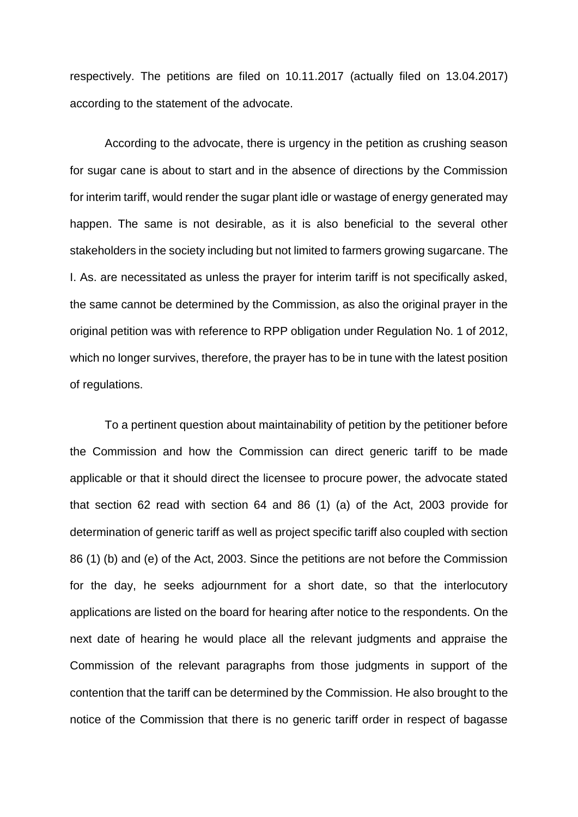respectively. The petitions are filed on 10.11.2017 (actually filed on 13.04.2017) according to the statement of the advocate.

According to the advocate, there is urgency in the petition as crushing season for sugar cane is about to start and in the absence of directions by the Commission for interim tariff, would render the sugar plant idle or wastage of energy generated may happen. The same is not desirable, as it is also beneficial to the several other stakeholders in the society including but not limited to farmers growing sugarcane. The I. As. are necessitated as unless the prayer for interim tariff is not specifically asked, the same cannot be determined by the Commission, as also the original prayer in the original petition was with reference to RPP obligation under Regulation No. 1 of 2012, which no longer survives, therefore, the prayer has to be in tune with the latest position of regulations.

To a pertinent question about maintainability of petition by the petitioner before the Commission and how the Commission can direct generic tariff to be made applicable or that it should direct the licensee to procure power, the advocate stated that section 62 read with section 64 and 86 (1) (a) of the Act, 2003 provide for determination of generic tariff as well as project specific tariff also coupled with section 86 (1) (b) and (e) of the Act, 2003. Since the petitions are not before the Commission for the day, he seeks adjournment for a short date, so that the interlocutory applications are listed on the board for hearing after notice to the respondents. On the next date of hearing he would place all the relevant judgments and appraise the Commission of the relevant paragraphs from those judgments in support of the contention that the tariff can be determined by the Commission. He also brought to the notice of the Commission that there is no generic tariff order in respect of bagasse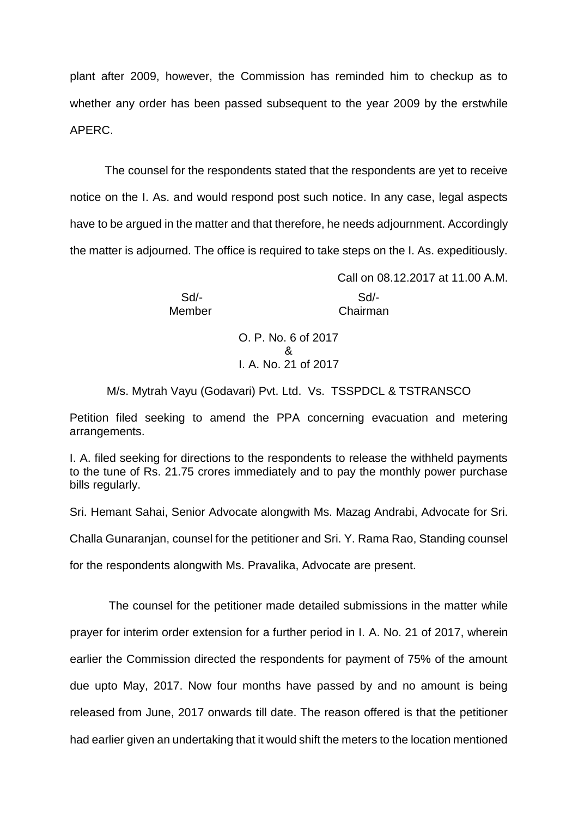plant after 2009, however, the Commission has reminded him to checkup as to whether any order has been passed subsequent to the year 2009 by the erstwhile APERC.

The counsel for the respondents stated that the respondents are yet to receive notice on the I. As. and would respond post such notice. In any case, legal aspects have to be argued in the matter and that therefore, he needs adjournment. Accordingly the matter is adjourned. The office is required to take steps on the I. As. expeditiously.

> Sd/- Sd/- Member Chairman

Call on 08.12.2017 at 11.00 A.M.

O. P. No. 6 of 2017 & I. A. No. 21 of 2017

M/s. Mytrah Vayu (Godavari) Pvt. Ltd. Vs. TSSPDCL & TSTRANSCO

Petition filed seeking to amend the PPA concerning evacuation and metering arrangements.

I. A. filed seeking for directions to the respondents to release the withheld payments to the tune of Rs. 21.75 crores immediately and to pay the monthly power purchase bills regularly.

Sri. Hemant Sahai, Senior Advocate alongwith Ms. Mazag Andrabi, Advocate for Sri.

Challa Gunaranjan, counsel for the petitioner and Sri. Y. Rama Rao, Standing counsel

for the respondents alongwith Ms. Pravalika, Advocate are present.

 The counsel for the petitioner made detailed submissions in the matter while prayer for interim order extension for a further period in I. A. No. 21 of 2017, wherein earlier the Commission directed the respondents for payment of 75% of the amount due upto May, 2017. Now four months have passed by and no amount is being released from June, 2017 onwards till date. The reason offered is that the petitioner had earlier given an undertaking that it would shift the meters to the location mentioned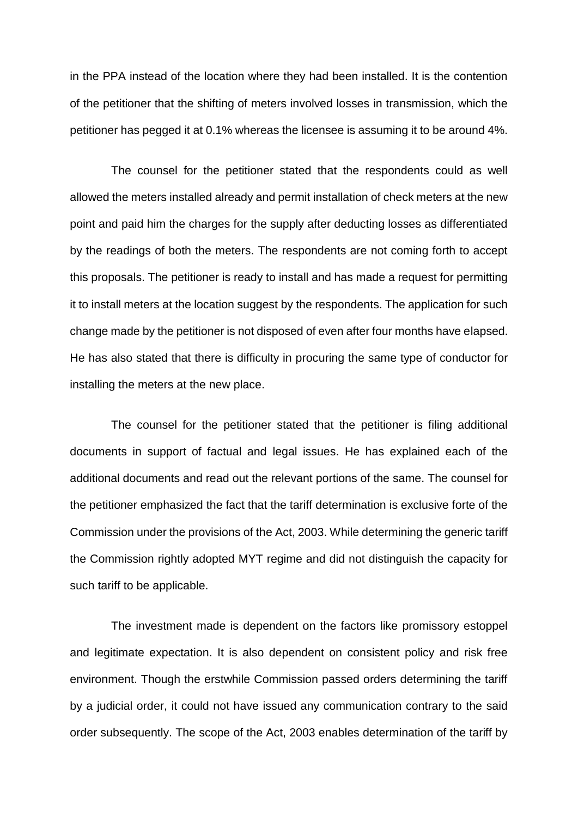in the PPA instead of the location where they had been installed. It is the contention of the petitioner that the shifting of meters involved losses in transmission, which the petitioner has pegged it at 0.1% whereas the licensee is assuming it to be around 4%.

The counsel for the petitioner stated that the respondents could as well allowed the meters installed already and permit installation of check meters at the new point and paid him the charges for the supply after deducting losses as differentiated by the readings of both the meters. The respondents are not coming forth to accept this proposals. The petitioner is ready to install and has made a request for permitting it to install meters at the location suggest by the respondents. The application for such change made by the petitioner is not disposed of even after four months have elapsed. He has also stated that there is difficulty in procuring the same type of conductor for installing the meters at the new place.

The counsel for the petitioner stated that the petitioner is filing additional documents in support of factual and legal issues. He has explained each of the additional documents and read out the relevant portions of the same. The counsel for the petitioner emphasized the fact that the tariff determination is exclusive forte of the Commission under the provisions of the Act, 2003. While determining the generic tariff the Commission rightly adopted MYT regime and did not distinguish the capacity for such tariff to be applicable.

The investment made is dependent on the factors like promissory estoppel and legitimate expectation. It is also dependent on consistent policy and risk free environment. Though the erstwhile Commission passed orders determining the tariff by a judicial order, it could not have issued any communication contrary to the said order subsequently. The scope of the Act, 2003 enables determination of the tariff by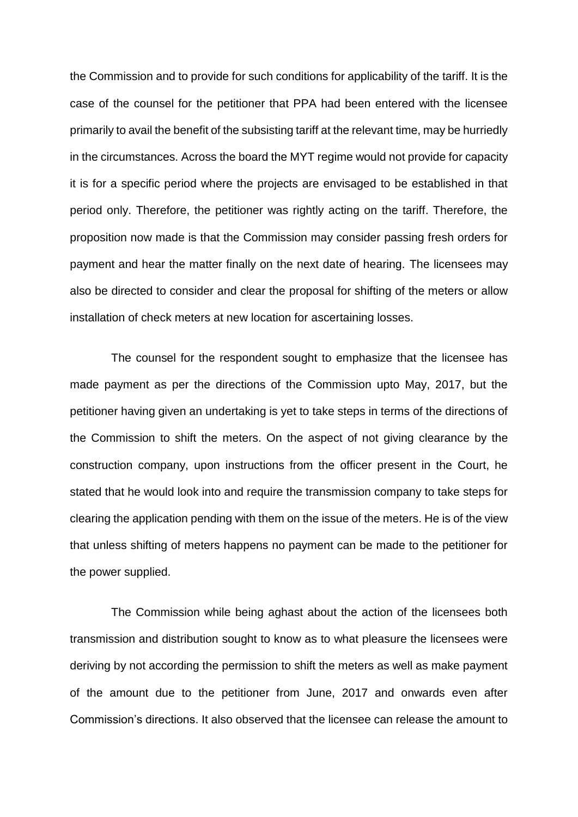the Commission and to provide for such conditions for applicability of the tariff. It is the case of the counsel for the petitioner that PPA had been entered with the licensee primarily to avail the benefit of the subsisting tariff at the relevant time, may be hurriedly in the circumstances. Across the board the MYT regime would not provide for capacity it is for a specific period where the projects are envisaged to be established in that period only. Therefore, the petitioner was rightly acting on the tariff. Therefore, the proposition now made is that the Commission may consider passing fresh orders for payment and hear the matter finally on the next date of hearing. The licensees may also be directed to consider and clear the proposal for shifting of the meters or allow installation of check meters at new location for ascertaining losses.

The counsel for the respondent sought to emphasize that the licensee has made payment as per the directions of the Commission upto May, 2017, but the petitioner having given an undertaking is yet to take steps in terms of the directions of the Commission to shift the meters. On the aspect of not giving clearance by the construction company, upon instructions from the officer present in the Court, he stated that he would look into and require the transmission company to take steps for clearing the application pending with them on the issue of the meters. He is of the view that unless shifting of meters happens no payment can be made to the petitioner for the power supplied.

The Commission while being aghast about the action of the licensees both transmission and distribution sought to know as to what pleasure the licensees were deriving by not according the permission to shift the meters as well as make payment of the amount due to the petitioner from June, 2017 and onwards even after Commission's directions. It also observed that the licensee can release the amount to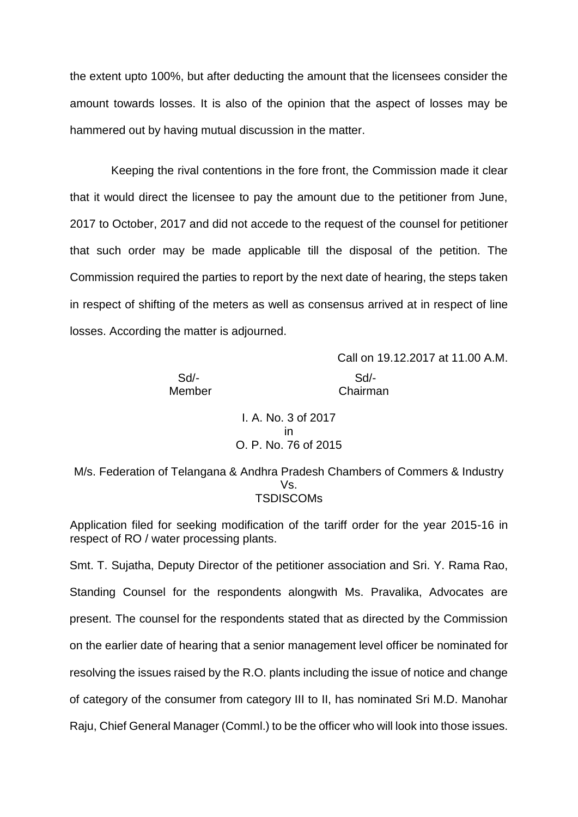the extent upto 100%, but after deducting the amount that the licensees consider the amount towards losses. It is also of the opinion that the aspect of losses may be hammered out by having mutual discussion in the matter.

Keeping the rival contentions in the fore front, the Commission made it clear that it would direct the licensee to pay the amount due to the petitioner from June, 2017 to October, 2017 and did not accede to the request of the counsel for petitioner that such order may be made applicable till the disposal of the petition. The Commission required the parties to report by the next date of hearing, the steps taken in respect of shifting of the meters as well as consensus arrived at in respect of line losses. According the matter is adjourned.

> Call on 19.12.2017 at 11.00 A.M. Sd/- Sd/- Member Chairman

I. A. No. 3 of 2017 in O. P. No. 76 of 2015

M/s. Federation of Telangana & Andhra Pradesh Chambers of Commers & Industry Vs. **TSDISCOMs** 

Application filed for seeking modification of the tariff order for the year 2015-16 in respect of RO / water processing plants.

Smt. T. Sujatha, Deputy Director of the petitioner association and Sri. Y. Rama Rao, Standing Counsel for the respondents alongwith Ms. Pravalika, Advocates are present. The counsel for the respondents stated that as directed by the Commission on the earlier date of hearing that a senior management level officer be nominated for resolving the issues raised by the R.O. plants including the issue of notice and change of category of the consumer from category III to II, has nominated Sri M.D. Manohar Raju, Chief General Manager (Comml.) to be the officer who will look into those issues.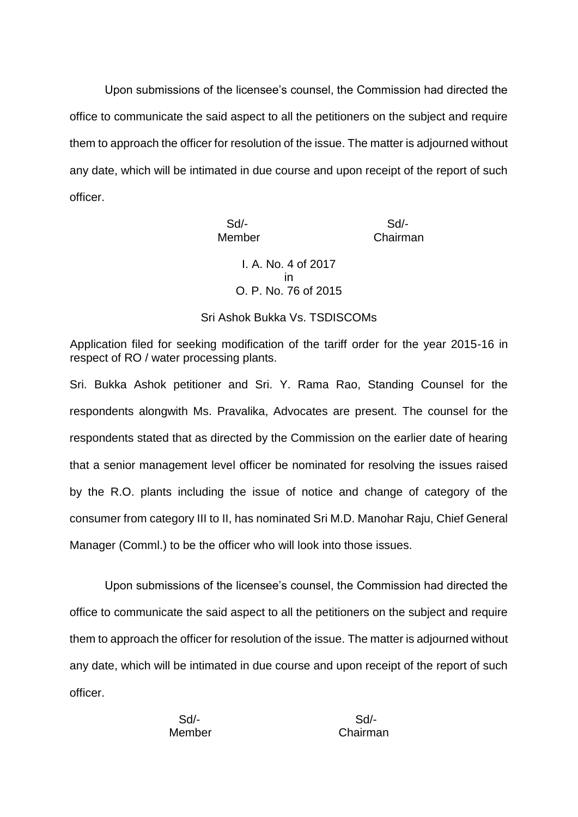Upon submissions of the licensee's counsel, the Commission had directed the office to communicate the said aspect to all the petitioners on the subject and require them to approach the officer for resolution of the issue. The matter is adjourned without any date, which will be intimated in due course and upon receipt of the report of such officer.

> Sd/- Sd/- Member Chairman I. A. No. 4 of 2017 in O. P. No. 76 of 2015

Sri Ashok Bukka Vs. TSDISCOMs

Application filed for seeking modification of the tariff order for the year 2015-16 in respect of RO / water processing plants.

Sri. Bukka Ashok petitioner and Sri. Y. Rama Rao, Standing Counsel for the respondents alongwith Ms. Pravalika, Advocates are present. The counsel for the respondents stated that as directed by the Commission on the earlier date of hearing that a senior management level officer be nominated for resolving the issues raised by the R.O. plants including the issue of notice and change of category of the consumer from category III to II, has nominated Sri M.D. Manohar Raju, Chief General Manager (Comml.) to be the officer who will look into those issues.

Upon submissions of the licensee's counsel, the Commission had directed the office to communicate the said aspect to all the petitioners on the subject and require them to approach the officer for resolution of the issue. The matter is adjourned without any date, which will be intimated in due course and upon receipt of the report of such officer.

Sd/- Sd/-

Member Chairman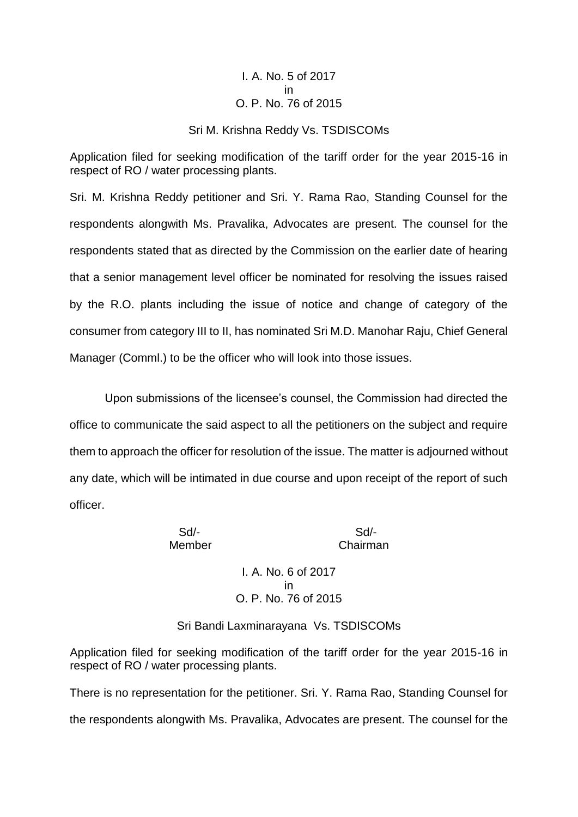### I. A. No. 5 of 2017 in O. P. No. 76 of 2015

#### Sri M. Krishna Reddy Vs. TSDISCOMs

Application filed for seeking modification of the tariff order for the year 2015-16 in respect of RO / water processing plants.

Sri. M. Krishna Reddy petitioner and Sri. Y. Rama Rao, Standing Counsel for the respondents alongwith Ms. Pravalika, Advocates are present. The counsel for the respondents stated that as directed by the Commission on the earlier date of hearing that a senior management level officer be nominated for resolving the issues raised by the R.O. plants including the issue of notice and change of category of the consumer from category III to II, has nominated Sri M.D. Manohar Raju, Chief General Manager (Comml.) to be the officer who will look into those issues.

Upon submissions of the licensee's counsel, the Commission had directed the office to communicate the said aspect to all the petitioners on the subject and require them to approach the officer for resolution of the issue. The matter is adjourned without any date, which will be intimated in due course and upon receipt of the report of such officer.

Sd/- Sd/-

Member Chairman

I. A. No. 6 of 2017 in O. P. No. 76 of 2015

Sri Bandi Laxminarayana Vs. TSDISCOMs

Application filed for seeking modification of the tariff order for the year 2015-16 in respect of RO / water processing plants.

There is no representation for the petitioner. Sri. Y. Rama Rao, Standing Counsel for the respondents alongwith Ms. Pravalika, Advocates are present. The counsel for the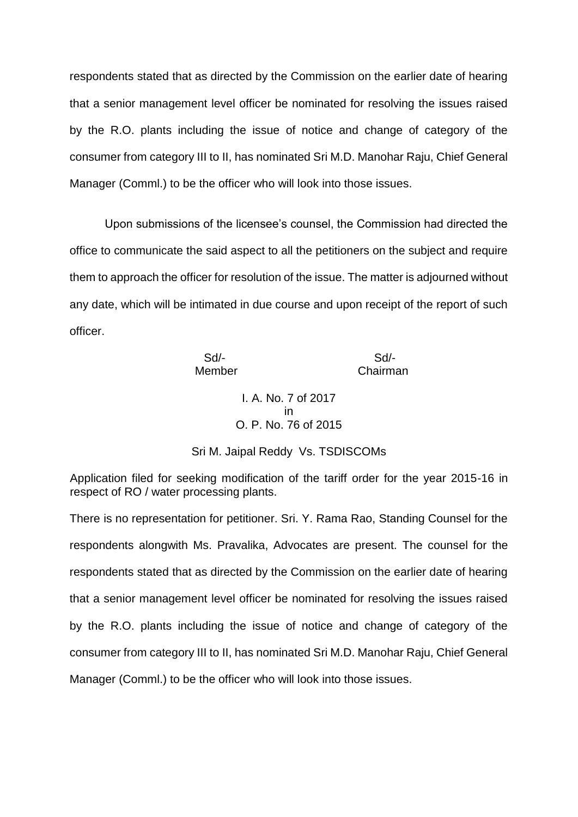respondents stated that as directed by the Commission on the earlier date of hearing that a senior management level officer be nominated for resolving the issues raised by the R.O. plants including the issue of notice and change of category of the consumer from category III to II, has nominated Sri M.D. Manohar Raju, Chief General Manager (Comml.) to be the officer who will look into those issues.

Upon submissions of the licensee's counsel, the Commission had directed the office to communicate the said aspect to all the petitioners on the subject and require them to approach the officer for resolution of the issue. The matter is adjourned without any date, which will be intimated in due course and upon receipt of the report of such officer.

Sd/- Sd/-

Member Chairman

I. A. No. 7 of 2017 in O. P. No. 76 of 2015

Sri M. Jaipal Reddy Vs. TSDISCOMs

Application filed for seeking modification of the tariff order for the year 2015-16 in respect of RO / water processing plants.

There is no representation for petitioner. Sri. Y. Rama Rao, Standing Counsel for the respondents alongwith Ms. Pravalika, Advocates are present. The counsel for the respondents stated that as directed by the Commission on the earlier date of hearing that a senior management level officer be nominated for resolving the issues raised by the R.O. plants including the issue of notice and change of category of the consumer from category III to II, has nominated Sri M.D. Manohar Raju, Chief General Manager (Comml.) to be the officer who will look into those issues.